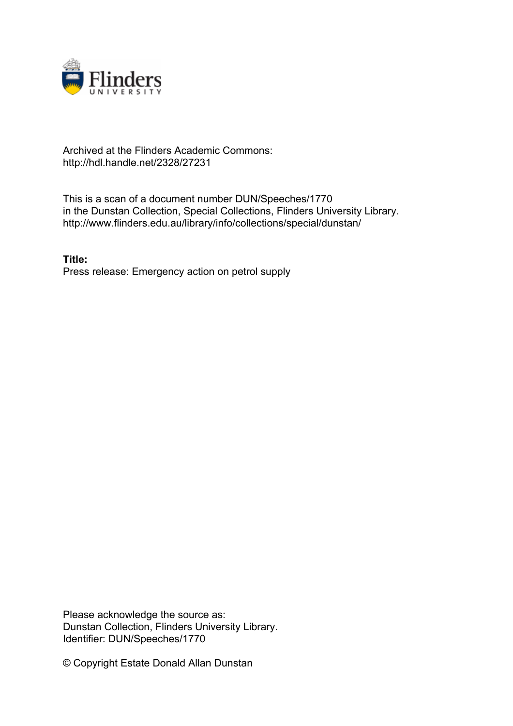

## Archived at the Flinders Academic Commons: http://hdl.handle.net/2328/27231

This is a scan of a document number DUN/Speeches/1770 in the Dunstan Collection, Special Collections, Flinders University Library. http://www.flinders.edu.au/library/info/collections/special/dunstan/

**Title:** Press release: Emergency action on petrol supply

Please acknowledge the source as: Dunstan Collection, Flinders University Library. Identifier: DUN/Speeches/1770

© Copyright Estate Donald Allan Dunstan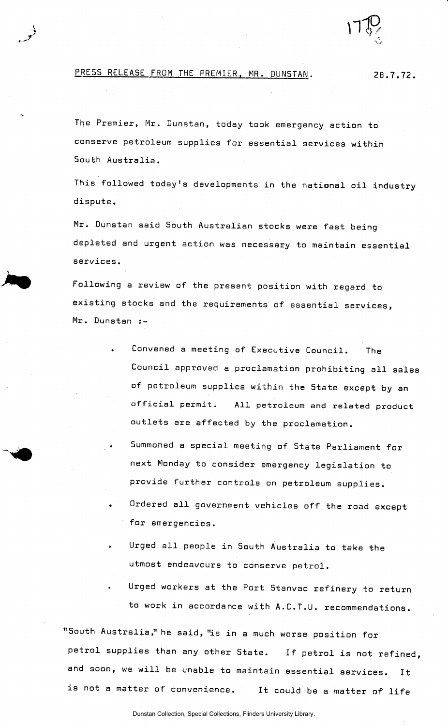

## PRESS RELEASE FROM THE PREMIER, MR. DUNSTAN. 28.7.72.

The Premier, Mr. Dunstan, today took emergency action to' conserve petroleum supplies for essential services within South Australia.

This followed today's developments in the national oil industry dispute.

Mr. Dunstan said South Australian stocks were fast being depleted and urgent action was necessary to maintain essential services.

Following a review of the present position with regard to existing stocks and the requirements of essential services, Mr. Dunstan :-

- Convened a meeting of Executive Council. The Council approved a proclamation prohibiting all sales of petroleum supplies within the State except by an official permit. All petroleum and related product outlets are affected by the proclamation.
- Summoned a special meeting of State Parliament for next Monday to consider emergency legislation to provide further controls on petroleum supplies.
- Ordered all government vehicles off the road except for emergencies.
- Urged all people in South Australia to take the utmost endeavours to conserve petrol.
- Urged workers at the Port Stanvac refinery to return to work in accordance with A.C.T.U. recommendations.

"South Australia," he said, "is in a much worse position for petrol supplies than any other State. If petrol is not refined, and soon, we will be unable to maintain essential services. It is not a matter of convenience. It could be a matter of life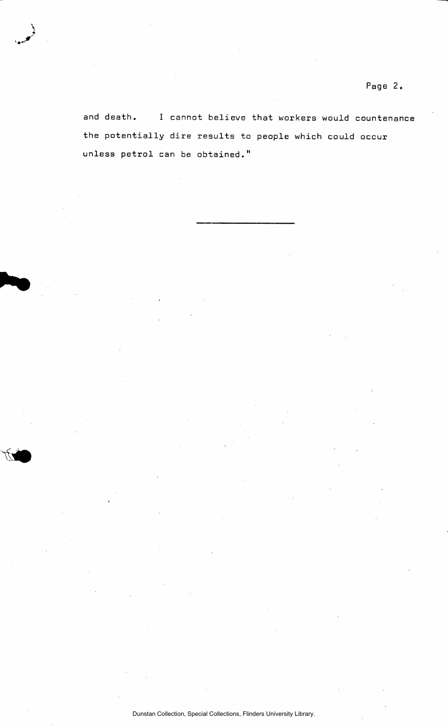and death. I cannot believe that workers would countenance the potentially dire results to people which could occur unless petrol can be obtained,"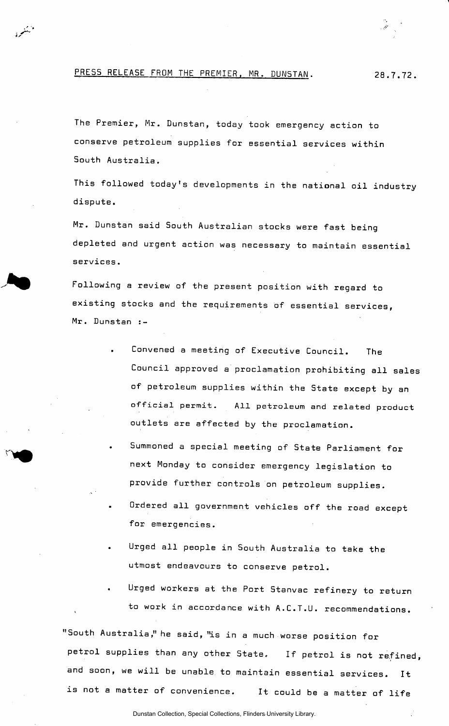PRESS RELEASE FROM THE PREMIER, MR. DUNSTAN. 28.7.72.

د بو.<br>پيغو

The Premier, Mr. Dunstan, today took emergency action to conserve petroleum supplies for essential services within South Australia.

This followed today's developments in the national oil industry dispute.

Mr. Dunstan said South Australian stocks were fast being depleted and urgent action was necessary to maintain essential services.

Following a review of the present position with regard to existing stocks and the requirements of essential services, Mr. Dunstan :-

- Convened a meeting of Executive Council. The Council approved a proclamation prohibiting all sales of petroleum supplies within the State except by an official permit. All petroleum and related product outlets are affected by the proclamation.
- Summoned a special meeting of State Parliament for next Monday to consider emergency legislation to provide further controls on petroleum supplies.
- Ordered all government vehicles off the road except for emergencies.
- Urged all people in South Australia to take the utmost endeavours to conserve petrol.
- Urged workers at the Port Stanvac refinery to return to work in accordance with A.C.T.U. recommendations.

"South Australia," he said, "is in a much worse position for petrol supplies than any other State. If petrol is not refined, and soon, we will be unable to maintain essential services. It is not a matter of convenience. It could be a matter of life